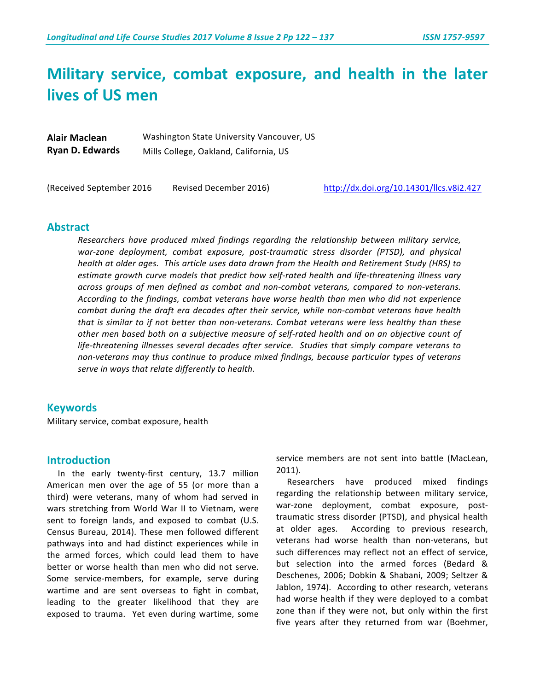# **Military service, combat exposure, and health in the later lives of US men**

| <b>Alair Maclean</b>   | Washington State University Vancouver, US |  |  |  |  |  |
|------------------------|-------------------------------------------|--|--|--|--|--|
| <b>Ryan D. Edwards</b> | Mills College, Oakland, California, US    |  |  |  |  |  |

(Received September 2016 Revised December 2016) http://dx.doi.org/10.14301/llcs.v8i2.427

## **Abstract**

Researchers have produced mixed findings regarding the relationship between military service, war-zone deployment, combat exposure, post-traumatic stress disorder (PTSD), and physical *health* at older ages. This article uses data drawn from the Health and Retirement Study (HRS) to estimate growth curve models that predict how self-rated health and life-threatening illness vary *across groups of men defined as combat and non-combat veterans, compared to non-veterans. According to the findings, combat veterans have worse health than men who did not experience combat during the draft era decades after their service, while non-combat veterans have health that* is similar to if not better than non-veterans. Combat veterans were less healthy than these other men based both on a subjective measure of self-rated health and on an objective count of life-threatening illnesses several decades after service. Studies that simply compare veterans to non-veterans may thus continue to produce mixed findings, because particular types of veterans serve in ways that relate differently to health.

#### **Keywords**

Military service, combat exposure, health

## **Introduction**

In the early twenty-first century, 13.7 million American men over the age of 55 (or more than a third) were veterans, many of whom had served in wars stretching from World War II to Vietnam, were sent to foreign lands, and exposed to combat (U.S. Census Bureau, 2014). These men followed different pathways into and had distinct experiences while in the armed forces, which could lead them to have better or worse health than men who did not serve. Some service-members, for example, serve during wartime and are sent overseas to fight in combat, leading to the greater likelihood that they are exposed to trauma. Yet even during wartime, some

service members are not sent into battle (MacLean, 2011). 

Researchers have produced mixed findings regarding the relationship between military service, war-zone deployment, combat exposure, posttraumatic stress disorder (PTSD), and physical health at older ages. According to previous research, veterans had worse health than non-veterans, but such differences may reflect not an effect of service, but selection into the armed forces (Bedard & Deschenes, 2006; Dobkin & Shabani, 2009; Seltzer & Jablon, 1974). According to other research, veterans had worse health if they were deployed to a combat zone than if they were not, but only within the first five years after they returned from war (Boehmer,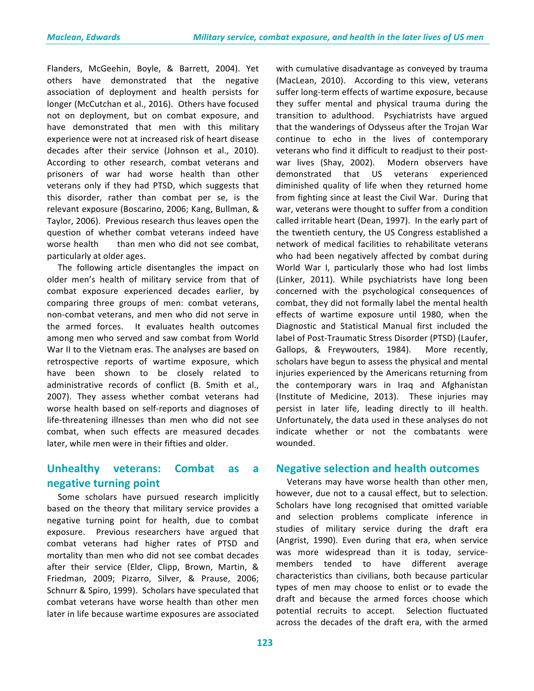Flanders, McGeehin, Boyle, & Barrett, 2004). Yet others have demonstrated that the negative association of deployment and health persists for longer (McCutchan et al., 2016). Others have focused not on deployment, but on combat exposure, and have demonstrated that men with this military experience were not at increased risk of heart disease decades after their service (Johnson et al., 2010). According to other research, combat veterans and prisoners of war had worse health than other veterans only if they had PTSD, which suggests that this disorder, rather than combat per se, is the relevant exposure (Boscarino, 2006; Kang, Bullman, & Taylor, 2006). Previous research thus leaves open the question of whether combat veterans indeed have worse health than men who did not see combat. particularly at older ages.

The following article disentangles the impact on older men's health of military service from that of combat exposure experienced decades earlier, by comparing three groups of men: combat veterans, non-combat veterans, and men who did not serve in the armed forces. It evaluates health outcomes among men who served and saw combat from World War II to the Vietnam eras. The analyses are based on retrospective reports of wartime exposure, which have been shown to be closely related to administrative records of conflict (B. Smith et al., 2007). They assess whether combat veterans had worse health based on self-reports and diagnoses of life-threatening illnesses than men who did not see combat, when such effects are measured decades later, while men were in their fifties and older.

# **Unhealthy veterans: Combat as a negative turning point**

Some scholars have pursued research implicitly based on the theory that military service provides a negative turning point for health, due to combat exposure. Previous researchers have argued that combat veterans had higher rates of PTSD and mortality than men who did not see combat decades after their service (Elder, Clipp, Brown, Martin, & Friedman, 2009; Pizarro, Silver, & Prause, 2006; Schnurr & Spiro, 1999). Scholars have speculated that combat veterans have worse health than other men later in life because wartime exposures are associated

(MacLean, 2010). According to this view, veterans suffer long-term effects of wartime exposure, because they suffer mental and physical trauma during the transition to adulthood. Psychiatrists have argued that the wanderings of Odysseus after the Trojan War continue to echo in the lives of contemporary veterans who find it difficult to readjust to their postwar lives (Shay, 2002). Modern observers have demonstrated that US veterans experienced diminished quality of life when they returned home from fighting since at least the Civil War. During that war, veterans were thought to suffer from a condition called irritable heart (Dean, 1997). In the early part of the twentieth century, the US Congress established a network of medical facilities to rehabilitate veterans who had been negatively affected by combat during World War I, particularly those who had lost limbs (Linker, 2011). While psychiatrists have long been concerned with the psychological consequences of combat, they did not formally label the mental health effects of wartime exposure until 1980, when the Diagnostic and Statistical Manual first included the label of Post-Traumatic Stress Disorder (PTSD) (Laufer, Gallops, & Freywouters, 1984). More recently, scholars have begun to assess the physical and mental injuries experienced by the Americans returning from the contemporary wars in Iraq and Afghanistan (Institute of Medicine, 2013). These injuries may persist in later life, leading directly to ill health. Unfortunately, the data used in these analyses do not indicate whether or not the combatants were wounded.

with cumulative disadvantage as conveyed by trauma

## **Negative selection and health outcomes**

Veterans may have worse health than other men, however, due not to a causal effect, but to selection. Scholars have long recognised that omitted variable and selection problems complicate inference in studies of military service during the draft era (Angrist, 1990). Even during that era, when service was more widespread than it is today, servicemembers tended to have different average characteristics than civilians, both because particular types of men may choose to enlist or to evade the draft and because the armed forces choose which potential recruits to accept. Selection fluctuated across the decades of the draft era, with the armed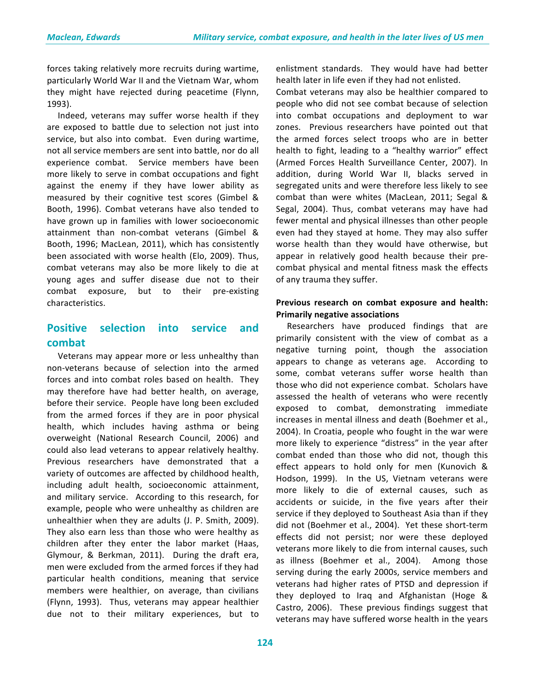forces taking relatively more recruits during wartime, particularly World War II and the Vietnam War, whom they might have rejected during peacetime (Flynn, 1993). 

Indeed, veterans may suffer worse health if they are exposed to battle due to selection not just into service, but also into combat. Even during wartime, not all service members are sent into battle, nor do all experience combat. Service members have been more likely to serve in combat occupations and fight against the enemy if they have lower ability as measured by their cognitive test scores (Gimbel & Booth, 1996). Combat veterans have also tended to have grown up in families with lower socioeconomic attainment than non-combat veterans (Gimbel & Booth, 1996; MacLean, 2011), which has consistently been associated with worse health (Elo, 2009). Thus, combat veterans may also be more likely to die at young ages and suffer disease due not to their combat exposure, but to their pre-existing characteristics. 

# **Positive selection into service and combat**

Veterans may appear more or less unhealthy than non-veterans because of selection into the armed forces and into combat roles based on health. They may therefore have had better health, on average, before their service. People have long been excluded from the armed forces if they are in poor physical health, which includes having asthma or being overweight (National Research Council, 2006) and could also lead veterans to appear relatively healthy. Previous researchers have demonstrated that a variety of outcomes are affected by childhood health, including adult health, socioeconomic attainment, and military service. According to this research, for example, people who were unhealthy as children are unhealthier when they are adults (J. P. Smith, 2009). They also earn less than those who were healthy as children after they enter the labor market (Haas, Glymour, & Berkman, 2011). During the draft era, men were excluded from the armed forces if they had particular health conditions, meaning that service members were healthier, on average, than civilians (Flynn, 1993). Thus, veterans may appear healthier due not to their military experiences, but to

enlistment standards. They would have had better health later in life even if they had not enlisted.

Combat veterans may also be healthier compared to people who did not see combat because of selection into combat occupations and deployment to war zones. Previous researchers have pointed out that the armed forces select troops who are in better health to fight, leading to a "healthy warrior" effect (Armed Forces Health Surveillance Center, 2007). In addition, during World War II, blacks served in segregated units and were therefore less likely to see combat than were whites (MacLean, 2011; Segal & Segal, 2004). Thus, combat veterans may have had fewer mental and physical illnesses than other people even had they stayed at home. They may also suffer worse health than they would have otherwise, but appear in relatively good health because their precombat physical and mental fitness mask the effects of any trauma they suffer.

## **Previous research on combat exposure and health: Primarily negative associations**

Researchers have produced findings that are primarily consistent with the view of combat as a negative turning point, though the association appears to change as veterans age. According to some, combat veterans suffer worse health than those who did not experience combat. Scholars have assessed the health of veterans who were recently exposed to combat, demonstrating immediate increases in mental illness and death (Boehmer et al., 2004). In Croatia, people who fought in the war were more likely to experience "distress" in the year after combat ended than those who did not, though this effect appears to hold only for men (Kunovich & Hodson, 1999). In the US, Vietnam veterans were more likely to die of external causes, such as accidents or suicide, in the five years after their service if they deployed to Southeast Asia than if they did not (Boehmer et al., 2004). Yet these short-term effects did not persist; nor were these deployed veterans more likely to die from internal causes, such as illness (Boehmer et al., 2004). Among those serving during the early 2000s, service members and veterans had higher rates of PTSD and depression if they deployed to Iraq and Afghanistan (Hoge & Castro, 2006). These previous findings suggest that veterans may have suffered worse health in the years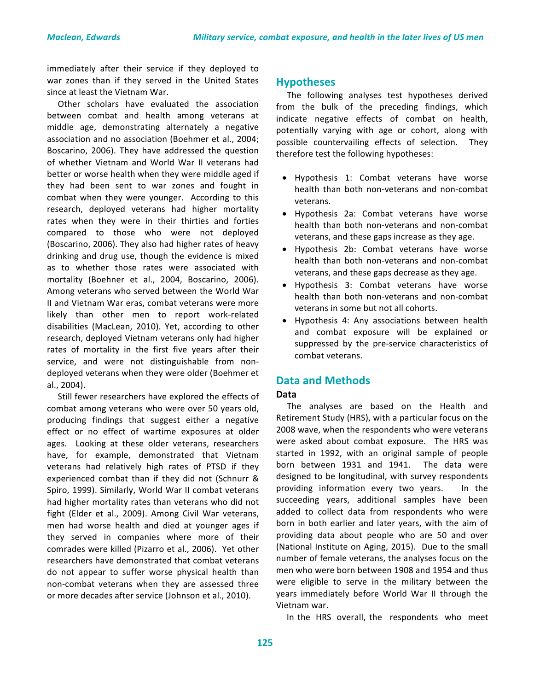immediately after their service if they deployed to war zones than if they served in the United States since at least the Vietnam War.

Other scholars have evaluated the association between combat and health among veterans at middle age, demonstrating alternately a negative association and no association (Boehmer et al., 2004; Boscarino, 2006). They have addressed the question of whether Vietnam and World War II veterans had better or worse health when they were middle aged if they had been sent to war zones and fought in combat when they were younger. According to this research, deployed veterans had higher mortality rates when they were in their thirties and forties compared to those who were not deployed (Boscarino, 2006). They also had higher rates of heavy drinking and drug use, though the evidence is mixed as to whether those rates were associated with mortality (Boehner et al., 2004, Boscarino, 2006). Among veterans who served between the World War II and Vietnam War eras, combat veterans were more likely than other men to report work-related disabilities (MacLean, 2010). Yet, according to other research, deployed Vietnam veterans only had higher rates of mortality in the first five years after their service, and were not distinguishable from nondeployed veterans when they were older (Boehmer et al., 2004). 

Still fewer researchers have explored the effects of combat among veterans who were over 50 years old, producing findings that suggest either a negative effect or no effect of wartime exposures at older ages. Looking at these older veterans, researchers have, for example, demonstrated that Vietnam veterans had relatively high rates of PTSD if they experienced combat than if they did not (Schnurr & Spiro, 1999). Similarly, World War II combat veterans had higher mortality rates than veterans who did not fight (Elder et al., 2009). Among Civil War veterans, men had worse health and died at younger ages if they served in companies where more of their comrades were killed (Pizarro et al., 2006). Yet other researchers have demonstrated that combat veterans do not appear to suffer worse physical health than non-combat veterans when they are assessed three or more decades after service (Johnson et al., 2010).

## **Hypotheses**

The following analyses test hypotheses derived from the bulk of the preceding findings, which indicate negative effects of combat on health, potentially varying with age or cohort, along with possible countervailing effects of selection. They therefore test the following hypotheses:

- Hypothesis 1: Combat veterans have worse health than both non-veterans and non-combat veterans.
- Hypothesis 2a: Combat veterans have worse health than both non-veterans and non-combat veterans, and these gaps increase as they age.
- Hypothesis 2b: Combat veterans have worse health than both non-veterans and non-combat veterans, and these gaps decrease as they age.
- Hypothesis 3: Combat veterans have worse health than both non-veterans and non-combat veterans in some but not all cohorts.
- Hypothesis 4: Any associations between health and combat exposure will be explained or suppressed by the pre-service characteristics of combat veterans.

## **Data and Methods**

#### **Data**

The analyses are based on the Health and Retirement Study (HRS), with a particular focus on the 2008 wave, when the respondents who were veterans were asked about combat exposure. The HRS was started in 1992, with an original sample of people born between 1931 and 1941. The data were designed to be longitudinal, with survey respondents providing information every two years. In the succeeding years, additional samples have been added to collect data from respondents who were born in both earlier and later years, with the aim of providing data about people who are 50 and over (National Institute on Aging, 2015). Due to the small number of female veterans, the analyses focus on the men who were born between 1908 and 1954 and thus were eligible to serve in the military between the years immediately before World War II through the Vietnam war. 

In the HRS overall, the respondents who meet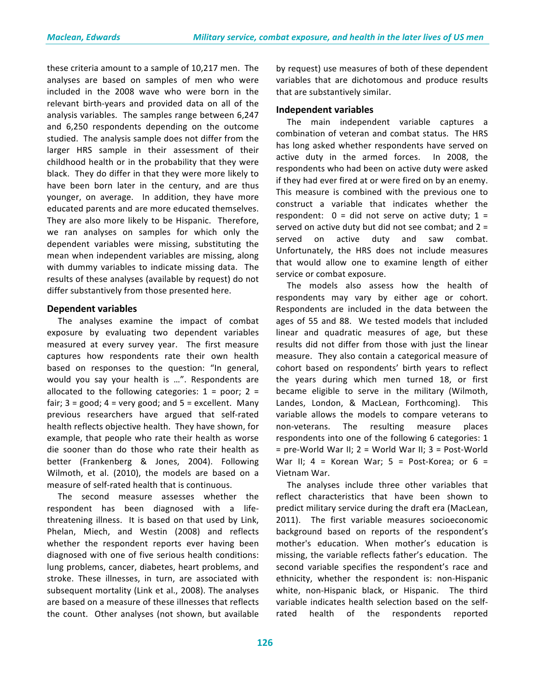these criteria amount to a sample of 10,217 men. The analyses are based on samples of men who were included in the 2008 wave who were born in the relevant birth-years and provided data on all of the analysis variables. The samples range between 6,247 and 6,250 respondents depending on the outcome studied. The analysis sample does not differ from the larger HRS sample in their assessment of their childhood health or in the probability that they were black. They do differ in that they were more likely to have been born later in the century, and are thus younger, on average. In addition, they have more educated parents and are more educated themselves. They are also more likely to be Hispanic. Therefore, we ran analyses on samples for which only the dependent variables were missing, substituting the mean when independent variables are missing, along with dummy variables to indicate missing data. The results of these analyses (available by request) do not differ substantively from those presented here.

#### **Dependent variables**

The analyses examine the impact of combat exposure by evaluating two dependent variables measured at every survey year. The first measure captures how respondents rate their own health based on responses to the question: "In general, would you say your health is ...". Respondents are allocated to the following categories:  $1 =$  poor;  $2 =$ fair;  $3 = \text{good}$ ;  $4 = \text{very good}$ ; and  $5 = \text{excellent}$ . Many previous researchers have argued that self-rated health reflects objective health. They have shown, for example, that people who rate their health as worse die sooner than do those who rate their health as better (Frankenberg & Jones, 2004). Following Wilmoth, et al. (2010), the models are based on a measure of self-rated health that is continuous.

The second measure assesses whether the respondent has been diagnosed with a lifethreatening illness. It is based on that used by Link, Phelan, Miech, and Westin (2008) and reflects whether the respondent reports ever having been diagnosed with one of five serious health conditions: lung problems, cancer, diabetes, heart problems, and stroke. These illnesses, in turn, are associated with subsequent mortality (Link et al., 2008). The analyses are based on a measure of these illnesses that reflects the count. Other analyses (not shown, but available

by request) use measures of both of these dependent variables that are dichotomous and produce results that are substantively similar.

#### **Independent variables**

The main independent variable captures a combination of veteran and combat status. The HRS has long asked whether respondents have served on active duty in the armed forces. In 2008, the respondents who had been on active duty were asked if they had ever fired at or were fired on by an enemy. This measure is combined with the previous one to construct a variable that indicates whether the respondent:  $0 =$  did not serve on active duty;  $1 =$ served on active duty but did not see combat; and  $2 =$ served on active duty and saw combat. Unfortunately, the HRS does not include measures that would allow one to examine length of either service or combat exposure.

The models also assess how the health of respondents may vary by either age or cohort. Respondents are included in the data between the ages of 55 and 88. We tested models that included linear and quadratic measures of age, but these results did not differ from those with just the linear measure. They also contain a categorical measure of cohort based on respondents' birth years to reflect the years during which men turned 18, or first became eligible to serve in the military (Wilmoth, Landes, London, & MacLean, Forthcoming). This variable allows the models to compare veterans to non-veterans. The resulting measure places respondents into one of the following 6 categories: 1  $=$  pre-World War II;  $2 =$  World War II;  $3 =$  Post-World War II;  $4 =$  Korean War;  $5 =$  Post-Korea; or  $6 =$ Vietnam War. 

The analyses include three other variables that reflect characteristics that have been shown to predict military service during the draft era (MacLean, 2011). The first variable measures socioeconomic background based on reports of the respondent's mother's education. When mother's education is missing, the variable reflects father's education. The second variable specifies the respondent's race and ethnicity, whether the respondent is: non-Hispanic white, non-Hispanic black, or Hispanic. The third variable indicates health selection based on the selfrated health of the respondents reported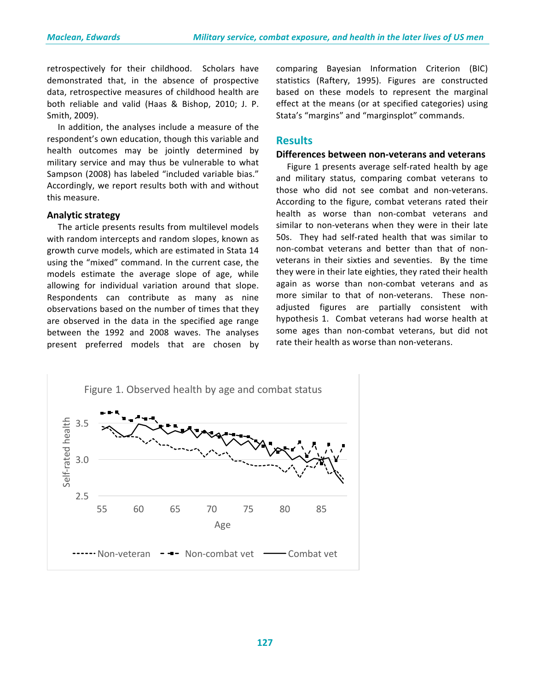retrospectively for their childhood. Scholars have demonstrated that, in the absence of prospective data, retrospective measures of childhood health are both reliable and valid (Haas & Bishop, 2010; J. P. Smith, 2009).

In addition, the analyses include a measure of the respondent's own education, though this variable and health outcomes may be jointly determined by military service and may thus be vulnerable to what Sampson (2008) has labeled "included variable bias." Accordingly, we report results both with and without this measure.

#### **Analytic strategy**

The article presents results from multilevel models with random intercepts and random slopes, known as growth curve models, which are estimated in Stata 14 using the "mixed" command. In the current case, the models estimate the average slope of age, while allowing for individual variation around that slope. Respondents can contribute as many as nine observations based on the number of times that they are observed in the data in the specified age range between the 1992 and 2008 waves. The analyses present preferred models that are chosen by comparing Bayesian Information Criterion (BIC) statistics (Raftery, 1995). Figures are constructed based on these models to represent the marginal effect at the means (or at specified categories) using Stata's "margins" and "marginsplot" commands.

# **Results**

#### **Differences between non-veterans and veterans**

Figure 1 presents average self-rated health by age and military status, comparing combat veterans to those who did not see combat and non-veterans. According to the figure, combat veterans rated their health as worse than non-combat veterans and similar to non-veterans when they were in their late 50s. They had self-rated health that was similar to non-combat veterans and better than that of nonveterans in their sixties and seventies. By the time they were in their late eighties, they rated their health again as worse than non-combat veterans and as more similar to that of non-veterans. These nonadjusted figures are partially consistent with hypothesis 1. Combat veterans had worse health at some ages than non-combat veterans, but did not rate their health as worse than non-veterans.

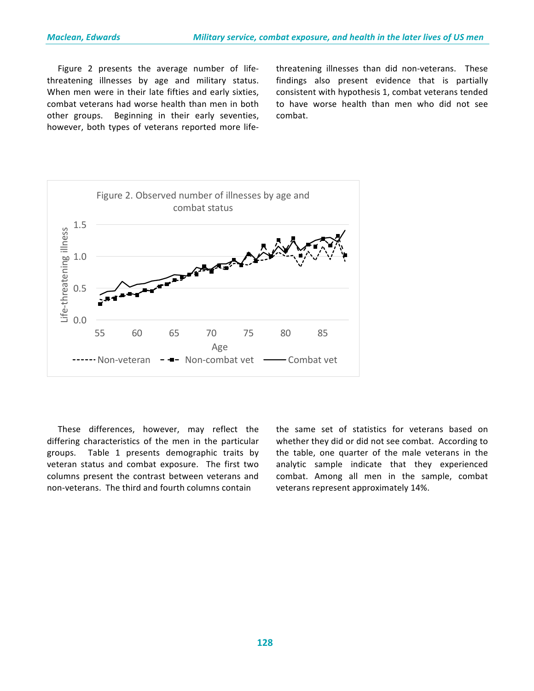Figure 2 presents the average number of lifethreatening illnesses by age and military status. When men were in their late fifties and early sixties, combat veterans had worse health than men in both other groups. Beginning in their early seventies, however, both types of veterans reported more lifethreatening illnesses than did non-veterans. These findings also present evidence that is partially consistent with hypothesis 1, combat veterans tended to have worse health than men who did not see combat. 



These differences, however, may reflect the differing characteristics of the men in the particular groups. Table 1 presents demographic traits by veteran status and combat exposure. The first two columns present the contrast between veterans and non-veterans. The third and fourth columns contain

the same set of statistics for veterans based on whether they did or did not see combat. According to the table, one quarter of the male veterans in the analytic sample indicate that they experienced combat. Among all men in the sample, combat veterans represent approximately 14%.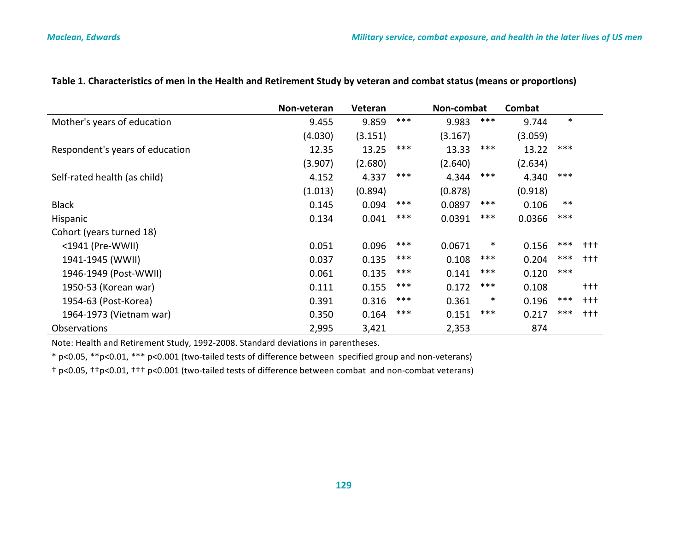|                                 | Non-veteran | <b>Veteran</b> |     | Non-combat |        | Combat  |        |         |
|---------------------------------|-------------|----------------|-----|------------|--------|---------|--------|---------|
| Mother's years of education     | 9.455       | 9.859          | *** | 9.983      | ***    | 9.744   | $\ast$ |         |
|                                 | (4.030)     | (3.151)        |     | (3.167)    |        | (3.059) |        |         |
| Respondent's years of education | 12.35       | 13.25          | *** | 13.33      | ***    | 13.22   | ***    |         |
|                                 | (3.907)     | (2.680)        |     | (2.640)    |        | (2.634) |        |         |
| Self-rated health (as child)    | 4.152       | 4.337          | *** | 4.344      | ***    | 4.340   | ***    |         |
|                                 | (1.013)     | (0.894)        |     | (0.878)    |        | (0.918) |        |         |
| <b>Black</b>                    | 0.145       | 0.094          | *** | 0.0897     | ***    | 0.106   | $***$  |         |
| Hispanic                        | 0.134       | 0.041          | *** | 0.0391     | ***    | 0.0366  | ***    |         |
| Cohort (years turned 18)        |             |                |     |            |        |         |        |         |
| <1941 (Pre-WWII)                | 0.051       | 0.096          | *** | 0.0671     | $\ast$ | 0.156   | ***    | $+ + +$ |
| 1941-1945 (WWII)                | 0.037       | 0.135          | *** | 0.108      | ***    | 0.204   | ***    | $+++$   |
| 1946-1949 (Post-WWII)           | 0.061       | 0.135          | *** | 0.141      | ***    | 0.120   | ***    |         |
| 1950-53 (Korean war)            | 0.111       | 0.155          | *** | 0.172      | ***    | 0.108   |        | $+ + +$ |
| 1954-63 (Post-Korea)            | 0.391       | 0.316          | *** | 0.361      | $\ast$ | 0.196   | ***    | $+ + +$ |
| 1964-1973 (Vietnam war)         | 0.350       | 0.164          | *** | 0.151      | ***    | 0.217   | ***    | $+ + +$ |
| Observations                    | 2,995       | 3,421          |     | 2,353      |        | 874     |        |         |

## Table 1. Characteristics of men in the Health and Retirement Study by veteran and combat status (means or proportions)

Note: Health and Retirement Study, 1992-2008. Standard deviations in parentheses.

\* p<0.05, \*\*p<0.01, \*\*\* p<0.001 (two-tailed tests of difference between specified group and non-veterans)

† p<0.05, ††p<0.01, ††† p<0.001 (two-tailed tests of difference between combat and non-combat veterans)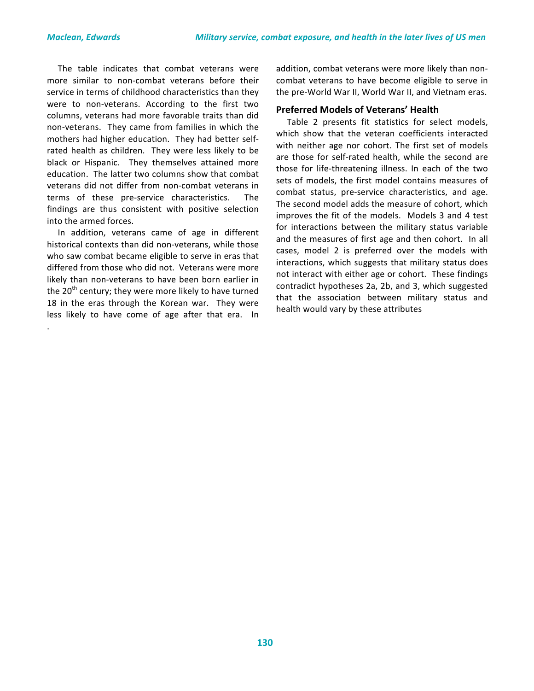The table indicates that combat veterans were more similar to non-combat veterans before their service in terms of childhood characteristics than they were to non-veterans. According to the first two columns, veterans had more favorable traits than did non-veterans. They came from families in which the mothers had higher education. They had better selfrated health as children. They were less likely to be black or Hispanic. They themselves attained more education. The latter two columns show that combat veterans did not differ from non-combat veterans in terms of these pre-service characteristics. The findings are thus consistent with positive selection into the armed forces.

In addition, veterans came of age in different historical contexts than did non-veterans, while those who saw combat became eligible to serve in eras that differed from those who did not. Veterans were more likely than non-veterans to have been born earlier in the  $20<sup>th</sup>$  century; they were more likely to have turned 18 in the eras through the Korean war. They were less likely to have come of age after that era. In .

addition, combat veterans were more likely than noncombat veterans to have become eligible to serve in the pre-World War II, World War II, and Vietnam eras.

#### **Preferred Models of Veterans' Health**

Table 2 presents fit statistics for select models. which show that the veteran coefficients interacted with neither age nor cohort. The first set of models are those for self-rated health, while the second are those for life-threatening illness. In each of the two sets of models, the first model contains measures of combat status, pre-service characteristics, and age. The second model adds the measure of cohort, which improves the fit of the models. Models 3 and 4 test for interactions between the military status variable and the measures of first age and then cohort. In all cases, model 2 is preferred over the models with interactions, which suggests that military status does not interact with either age or cohort. These findings contradict hypotheses 2a, 2b, and 3, which suggested that the association between military status and health would vary by these attributes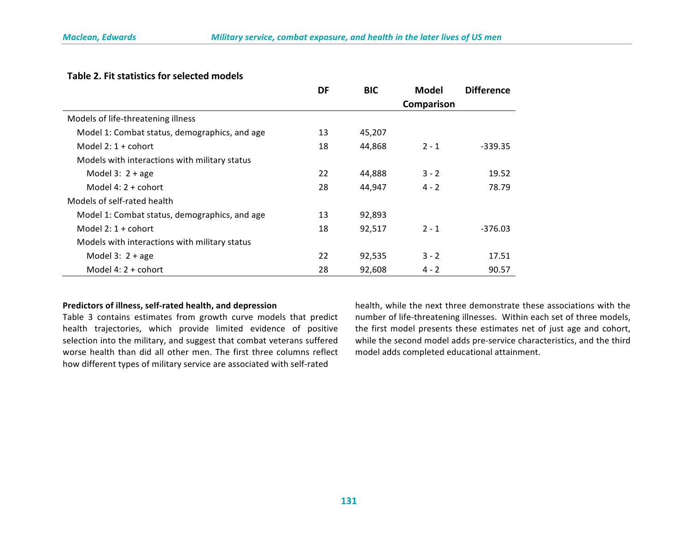#### **Table 2. Fit statistics for selected models**

|                                               | <b>DF</b> | <b>BIC</b> | Model      | <b>Difference</b> |
|-----------------------------------------------|-----------|------------|------------|-------------------|
|                                               |           |            | Comparison |                   |
| Models of life-threatening illness            |           |            |            |                   |
| Model 1: Combat status, demographics, and age | 13        | 45,207     |            |                   |
| Model $2:1+$ cohort                           | 18        | 44,868     | $2 - 1$    | $-339.35$         |
| Models with interactions with military status |           |            |            |                   |
| Model $3:2 + age$                             | 22        | 44,888     | $3 - 2$    | 19.52             |
| Model $4:2 + \text{cohort}$                   | 28        | 44,947     | $4 - 2$    | 78.79             |
| Models of self-rated health                   |           |            |            |                   |
| Model 1: Combat status, demographics, and age | 13        | 92,893     |            |                   |
| Model $2:1+$ cohort                           | 18        | 92,517     | $2 - 1$    | $-376.03$         |
| Models with interactions with military status |           |            |            |                   |
| Model $3:2 + age$                             | 22        | 92,535     | $3 - 2$    | 17.51             |
| Model $4:2 + \text{cohort}$                   | 28        | 92,608     | $4 - 2$    | 90.57             |

#### Predictors of illness, self-rated health, and depression

Table 3 contains estimates from growth curve models that predict health trajectories, which provide limited evidence of positive selection into the military, and suggest that combat veterans suffered worse health than did all other men. The first three columns reflect how different types of military service are associated with self-rated

health, while the next three demonstrate these associations with the number of life-threatening illnesses. Within each set of three models, the first model presents these estimates net of just age and cohort, while the second model adds pre-service characteristics, and the third model adds completed educational attainment.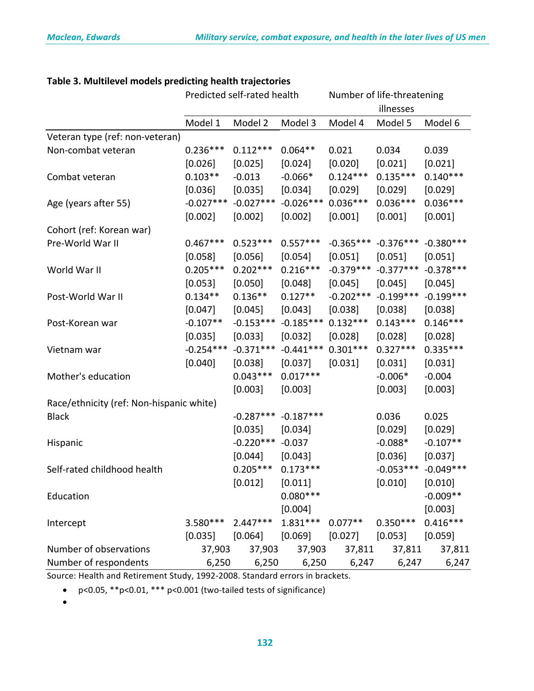|                                          | Predicted self-rated health |             |             | Number of life-threatening |             |             |  |
|------------------------------------------|-----------------------------|-------------|-------------|----------------------------|-------------|-------------|--|
|                                          |                             |             |             |                            | illnesses   |             |  |
|                                          | Model 1                     | Model 2     | Model 3     | Model 4                    | Model 5     | Model 6     |  |
| Veteran type (ref: non-veteran)          |                             |             |             |                            |             |             |  |
| Non-combat veteran                       | $0.236***$                  | $0.112***$  | $0.064**$   | 0.021                      | 0.034       | 0.039       |  |
|                                          | [0.026]                     | [0.025]     | [0.024]     | [0.020]                    | [0.021]     | [0.021]     |  |
| Combat veteran                           | $0.103**$                   | $-0.013$    | $-0.066*$   | $0.124***$                 | $0.135***$  | $0.140***$  |  |
|                                          | [0.036]                     | [0.035]     | [0.034]     | [0.029]                    | [0.029]     | [0.029]     |  |
| Age (years after 55)                     | $-0.027***$                 | $-0.027***$ | $-0.026***$ | $0.036***$                 | $0.036***$  | $0.036***$  |  |
|                                          | [0.002]                     | [0.002]     | [0.002]     | [0.001]                    | [0.001]     | [0.001]     |  |
| Cohort (ref: Korean war)                 |                             |             |             |                            |             |             |  |
| Pre-World War II                         | $0.467***$                  | $0.523***$  | $0.557***$  | $-0.365***$                | $-0.376***$ | $-0.380***$ |  |
|                                          | [0.058]                     | [0.056]     | [0.054]     | [0.051]                    | [0.051]     | [0.051]     |  |
| World War II                             | $0.205***$                  | $0.202***$  | $0.216***$  | $-0.379***$                | $-0.377***$ | $-0.378***$ |  |
|                                          | [0.053]                     | $[0.050]$   | [0.048]     | [0.045]                    | [0.045]     | [0.045]     |  |
| Post-World War II                        | $0.134**$                   | $0.136**$   | $0.127**$   | $-0.202***$                | $-0.199***$ | $-0.199***$ |  |
|                                          | [0.047]                     | [0.045]     | [0.043]     | [0.038]                    | [0.038]     | [0.038]     |  |
| Post-Korean war                          | $-0.107**$                  | $-0.153***$ | $-0.185***$ | $0.132***$                 | $0.143***$  | $0.146***$  |  |
|                                          | [0.035]                     | [0.033]     | [0.032]     | [0.028]                    | [0.028]     | [0.028]     |  |
| Vietnam war                              | $-0.254***$                 | $-0.371***$ | $-0.441***$ | $0.301***$                 | $0.327***$  | $0.335***$  |  |
|                                          | [0.040]                     | [0.038]     | [0.037]     | [0.031]                    | [0.031]     | [0.031]     |  |
| Mother's education                       |                             | $0.043***$  | $0.017***$  |                            | $-0.006*$   | $-0.004$    |  |
|                                          |                             | [0.003]     | [0.003]     |                            | [0.003]     | [0.003]     |  |
| Race/ethnicity (ref: Non-hispanic white) |                             |             |             |                            |             |             |  |
| <b>Black</b>                             |                             | $-0.287***$ | $-0.187***$ |                            | 0.036       | 0.025       |  |
|                                          |                             | [0.035]     | [0.034]     |                            | [0.029]     | [0.029]     |  |
| Hispanic                                 |                             | $-0.220***$ | $-0.037$    |                            | $-0.088*$   | $-0.107**$  |  |
|                                          |                             | [0.044]     | [0.043]     |                            | [0.036]     | [0.037]     |  |
| Self-rated childhood health              |                             | $0.205***$  | $0.173***$  |                            | $-0.053***$ | $-0.049***$ |  |
|                                          |                             | [0.012]     | $[0.011]$   |                            | [0.010]     | [0.010]     |  |
| Education                                |                             |             | $0.080***$  |                            |             | $-0.009**$  |  |
|                                          |                             |             | [0.004]     |                            |             | [0.003]     |  |
| Intercept                                | 3.580 ***                   | $2.447***$  | $1.831***$  | $0.077**$                  | $0.350***$  | $0.416***$  |  |
|                                          | [0.035]                     | [0.064]     | $[0.069]$   | [0.027]                    | [0.053]     | [0.059]     |  |
| Number of observations                   | 37,903                      | 37,903      | 37,903      | 37,811                     | 37,811      | 37,811      |  |
| Number of respondents                    | 6,250                       | 6,250       | 6,250       | 6,247                      | 6,247       | 6,247       |  |

# Table 3. Multilevel models predicting health trajectories

Source: Health and Retirement Study, 1992-2008. Standard errors in brackets.

•  $p < 0.05$ , \*\* $p < 0.01$ , \*\*\*  $p < 0.001$  (two-tailed tests of significance)

•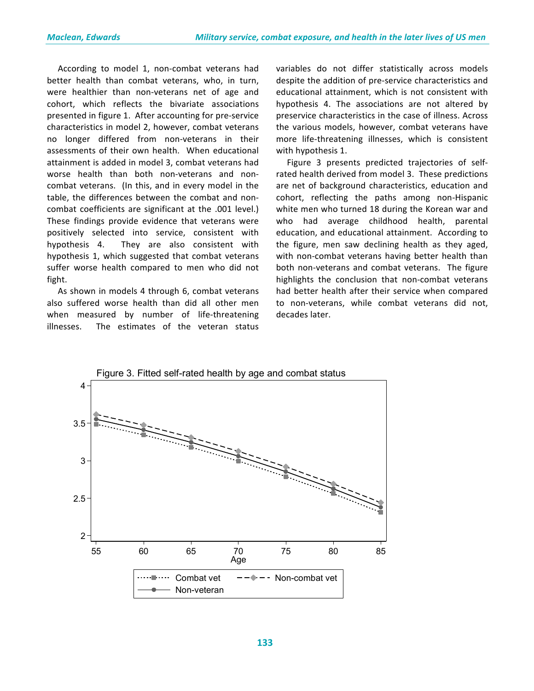According to model 1, non-combat veterans had better health than combat veterans, who, in turn, were healthier than non-veterans net of age and cohort, which reflects the bivariate associations presented in figure 1. After accounting for pre-service characteristics in model 2, however, combat veterans no longer differed from non-veterans in their assessments of their own health. When educational attainment is added in model 3, combat veterans had worse health than both non-veterans and noncombat veterans. (In this, and in every model in the table, the differences between the combat and noncombat coefficients are significant at the .001 level.) These findings provide evidence that veterans were positively selected into service, consistent with hypothesis 4. They are also consistent with hypothesis 1, which suggested that combat veterans suffer worse health compared to men who did not fight. 

As shown in models 4 through 6, combat veterans also suffered worse health than did all other men when measured by number of life-threatening illnesses. The estimates of the veteran status

variables do not differ statistically across models despite the addition of pre-service characteristics and educational attainment, which is not consistent with hypothesis 4. The associations are not altered by preservice characteristics in the case of illness. Across the various models, however, combat veterans have more life-threatening illnesses, which is consistent with hypothesis 1.

Figure 3 presents predicted trajectories of selfrated health derived from model 3. These predictions are net of background characteristics, education and cohort, reflecting the paths among non-Hispanic white men who turned 18 during the Korean war and who had average childhood health, parental education, and educational attainment. According to the figure, men saw declining health as they aged, with non-combat veterans having better health than both non-veterans and combat veterans. The figure highlights the conclusion that non-combat veterans had better health after their service when compared to non-veterans, while combat veterans did not, decades later.

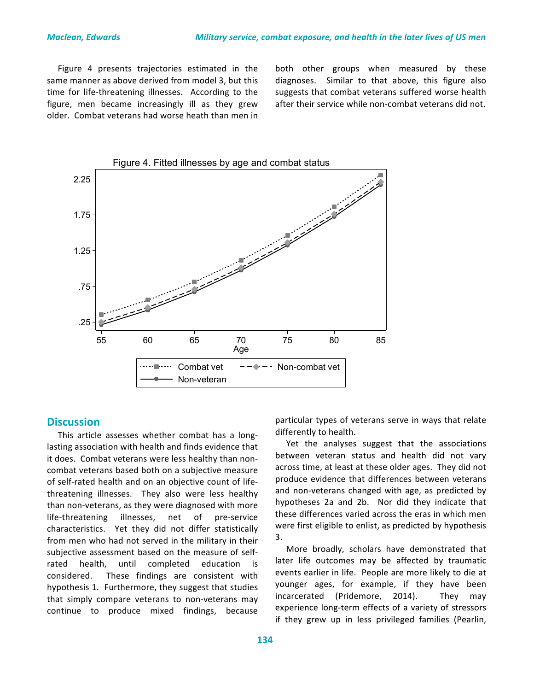Figure 4 presents trajectories estimated in the same manner as above derived from model 3, but this time for life-threatening illnesses. According to the figure, men became increasingly ill as they grew older. Combat veterans had worse heath than men in both other groups when measured by these diagnoses. Similar to that above, this figure also suggests that combat veterans suffered worse health after their service while non-combat veterans did not.



## **Discussion**

This article assesses whether combat has a longlasting association with health and finds evidence that it does. Combat veterans were less healthy than noncombat veterans based both on a subjective measure of self-rated health and on an objective count of lifethreatening illnesses. They also were less healthy than non-veterans, as they were diagnosed with more life-threatening illnesses, net of pre-service characteristics. Yet they did not differ statistically from men who had not served in the military in their subjective assessment based on the measure of selfrated health, until completed education is considered. These findings are consistent with hypothesis 1. Furthermore, they suggest that studies that simply compare veterans to non-veterans may continue to produce mixed findings, because  particular types of veterans serve in ways that relate differently to health.

Yet the analyses suggest that the associations between veteran status and health did not vary across time, at least at these older ages. They did not produce evidence that differences between veterans and non-veterans changed with age, as predicted by hypotheses 2a and 2b. Nor did they indicate that these differences varied across the eras in which men were first eligible to enlist, as predicted by hypothesis 3.

More broadly, scholars have demonstrated that later life outcomes may be affected by traumatic events earlier in life. People are more likely to die at younger ages, for example, if they have been incarcerated (Pridemore, 2014). They may experience long-term effects of a variety of stressors if they grew up in less privileged families (Pearlin,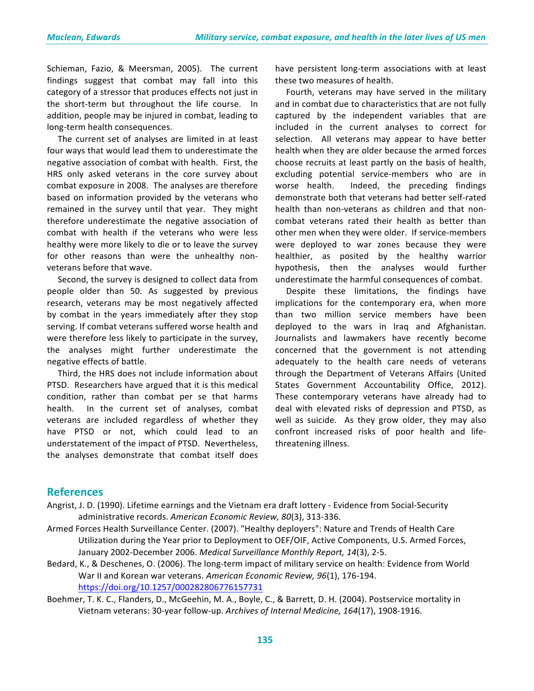Schieman, Fazio, & Meersman, 2005). The current findings suggest that combat may fall into this category of a stressor that produces effects not just in the short-term but throughout the life course. In addition, people may be injured in combat, leading to long-term health consequences.

The current set of analyses are limited in at least four ways that would lead them to underestimate the negative association of combat with health. First, the HRS only asked veterans in the core survey about combat exposure in 2008. The analyses are therefore based on information provided by the veterans who remained in the survey until that year. They might therefore underestimate the negative association of combat with health if the veterans who were less healthy were more likely to die or to leave the survey for other reasons than were the unhealthy nonveterans before that wave.

Second, the survey is designed to collect data from people older than 50. As suggested by previous research, veterans may be most negatively affected by combat in the years immediately after they stop serving. If combat veterans suffered worse health and were therefore less likely to participate in the survey, the analyses might further underestimate the negative effects of battle.

Third, the HRS does not include information about PTSD. Researchers have argued that it is this medical condition, rather than combat per se that harms health. In the current set of analyses, combat veterans are included regardless of whether they have PTSD or not, which could lead to an understatement of the impact of PTSD. Nevertheless, the analyses demonstrate that combat itself does

have persistent long-term associations with at least these two measures of health.

Fourth, veterans may have served in the military and in combat due to characteristics that are not fully captured by the independent variables that are included in the current analyses to correct for selection. All veterans may appear to have better health when they are older because the armed forces choose recruits at least partly on the basis of health, excluding potential service-members who are in worse health. Indeed, the preceding findings demonstrate both that veterans had better self-rated health than non-veterans as children and that noncombat veterans rated their health as better than other men when they were older. If service-members were deployed to war zones because they were healthier, as posited by the healthy warrior hypothesis, then the analyses would further underestimate the harmful consequences of combat.

Despite these limitations, the findings have implications for the contemporary era, when more than two million service members have been deployed to the wars in Iraq and Afghanistan. Journalists and lawmakers have recently become concerned that the government is not attending adequately to the health care needs of veterans through the Department of Veterans Affairs (United States Government Accountability Office, 2012). These contemporary veterans have already had to deal with elevated risks of depression and PTSD, as well as suicide. As they grow older, they may also confront increased risks of poor health and lifethreatening illness.

## **References**

- Angrist, J. D. (1990). Lifetime earnings and the Vietnam era draft lottery Evidence from Social-Security administrative records. American Economic Review, 80(3), 313-336.
- Armed Forces Health Surveillance Center. (2007). "Healthy deployers": Nature and Trends of Health Care Utilization during the Year prior to Deployment to OEF/OIF, Active Components, U.S. Armed Forces, January 2002-December 2006. Medical Surveillance Monthly Report, 14(3), 2-5.
- Bedard, K., & Deschenes, O. (2006). The long-term impact of military service on health: Evidence from World War II and Korean war veterans. American Economic Review, 96(1), 176-194. https://doi.org/10.1257/000282806776157731
- Boehmer, T. K. C., Flanders, D., McGeehin, M. A., Boyle, C., & Barrett, D. H. (2004). Postservice mortality in Vietnam veterans: 30-year follow-up. Archives of Internal Medicine, 164(17), 1908-1916.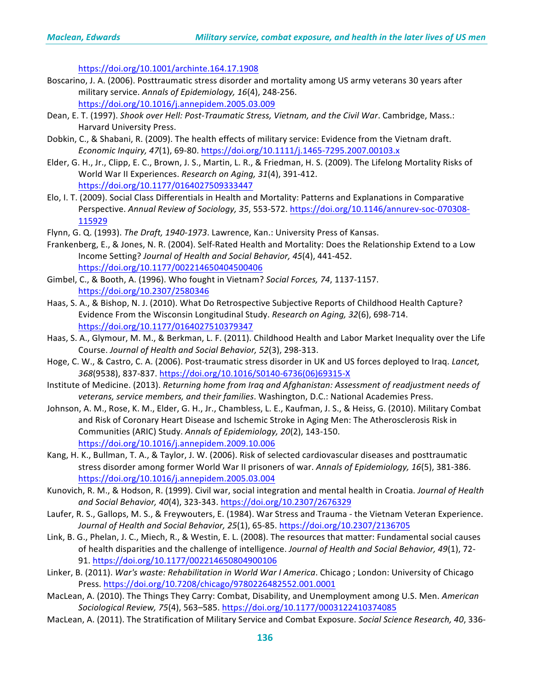https://doi.org/10.1001/archinte.164.17.1908

- Boscarino, J. A. (2006). Posttraumatic stress disorder and mortality among US army veterans 30 years after military service. Annals of Epidemiology, 16(4), 248-256. https://doi.org/10.1016/j.annepidem.2005.03.009
- Dean, E. T. (1997). *Shook over Hell: Post-Traumatic Stress, Vietnam, and the Civil War*. Cambridge, Mass.: Harvard University Press.
- Dobkin, C., & Shabani, R. (2009). The health effects of military service: Evidence from the Vietnam draft. *Economic Inquiry, 47*(1), 69-80. https://doi.org/10.1111/j.1465-7295.2007.00103.x
- Elder, G. H., Jr., Clipp, E. C., Brown, J. S., Martin, L. R., & Friedman, H. S. (2009). The Lifelong Mortality Risks of World War II Experiences. *Research on Aging, 31*(4), 391-412. https://doi.org/10.1177/0164027509333447
- Elo, I. T. (2009). Social Class Differentials in Health and Mortality: Patterns and Explanations in Comparative Perspective. Annual Review of Sociology, 35, 553-572. https://doi.org/10.1146/annurev-soc-070308-115929
- Flynn, G. Q. (1993). *The Draft, 1940-1973*. Lawrence, Kan.: University Press of Kansas.
- Frankenberg, E., & Jones, N. R. (2004). Self-Rated Health and Mortality: Does the Relationship Extend to a Low Income Setting? Journal of Health and Social Behavior, 45(4), 441-452. https://doi.org/10.1177/002214650404500406
- Gimbel, C., & Booth, A. (1996). Who fought in Vietnam? *Social Forces, 74*, 1137-1157. https://doi.org/10.2307/2580346
- Haas, S. A., & Bishop, N. J. (2010). What Do Retrospective Subjective Reports of Childhood Health Capture? Evidence From the Wisconsin Longitudinal Study. *Research on Aging, 32*(6), 698-714. https://doi.org/10.1177/0164027510379347
- Haas, S. A., Glymour, M. M., & Berkman, L. F. (2011). Childhood Health and Labor Market Inequality over the Life Course. Journal of Health and Social Behavior, 52(3), 298-313.
- Hoge, C. W., & Castro, C. A. (2006). Post-traumatic stress disorder in UK and US forces deployed to Iraq. *Lancet*, *368*(9538), 837-837. https://doi.org/10.1016/S0140-6736(06)69315-X
- Institute of Medicine. (2013). *Returning home from Irag and Afghanistan: Assessment of readjustment needs of* veterans, service members, and their families. Washington, D.C.: National Academies Press.
- Johnson, A. M., Rose, K. M., Elder, G. H., Jr., Chambless, L. E., Kaufman, J. S., & Heiss, G. (2010). Military Combat and Risk of Coronary Heart Disease and Ischemic Stroke in Aging Men: The Atherosclerosis Risk in Communities (ARIC) Study. Annals of Epidemiology, 20(2), 143-150. https://doi.org/10.1016/j.annepidem.2009.10.006
- Kang, H. K., Bullman, T. A., & Taylor, J. W. (2006). Risk of selected cardiovascular diseases and posttraumatic stress disorder among former World War II prisoners of war. Annals of Epidemiology, 16(5), 381-386. https://doi.org/10.1016/j.annepidem.2005.03.004
- Kunovich, R. M., & Hodson, R. (1999). Civil war, social integration and mental health in Croatia. *Journal of Health and Social Behavior, 40*(4), 323-343. https://doi.org/10.2307/2676329
- Laufer, R. S., Gallops, M. S., & Freywouters, E. (1984). War Stress and Trauma the Vietnam Veteran Experience. Journal of Health and Social Behavior, 25(1), 65-85. https://doi.org/10.2307/2136705
- Link, B. G., Phelan, J. C., Miech, R., & Westin, E. L. (2008). The resources that matter: Fundamental social causes of health disparities and the challenge of intelligence. Journal of Health and Social Behavior, 49(1), 72-91. https://doi.org/10.1177/002214650804900106
- Linker, B. (2011). *War's waste: Rehabilitation in World War I America*. Chicago ; London: University of Chicago Press. https://doi.org/10.7208/chicago/9780226482552.001.0001
- MacLean, A. (2010). The Things They Carry: Combat, Disability, and Unemployment among U.S. Men. *American Sociological Review, 75*(4), 563–585. https://doi.org/10.1177/0003122410374085
- MacLean, A. (2011). The Stratification of Military Service and Combat Exposure. *Social Science Research, 40*, 336-